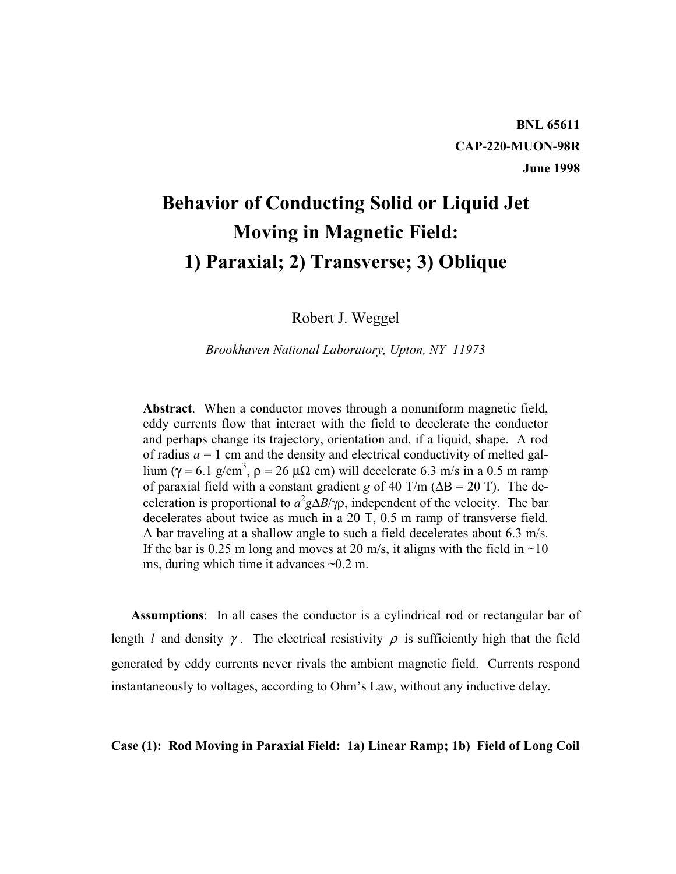## **Behavior of Conducting Solid or Liquid Jet Moving in Magnetic Field: 1) Paraxial; 2) Transverse; 3) Oblique**

Robert J. Weggel

*Brookhaven National Laboratory, Upton, NY 11973*

**Abstract**. When a conductor moves through a nonuniform magnetic field, eddy currents flow that interact with the field to decelerate the conductor and perhaps change its trajectory, orientation and, if a liquid, shape. A rod of radius  $a = 1$  cm and the density and electrical conductivity of melted gallium ( $\gamma = 6.1$  g/cm<sup>3</sup>,  $\rho = 26 \mu\Omega$  cm) will decelerate 6.3 m/s in a 0.5 m ramp of paraxial field with a constant gradient *g* of 40 T/m (∆B = 20 T). The deceleration is proportional to  $a^2$ g $\Delta$ *B*/γρ, independent of the velocity. The bar decelerates about twice as much in a 20 T, 0.5 m ramp of transverse field. A bar traveling at a shallow angle to such a field decelerates about 6.3 m/s. If the bar is 0.25 m long and moves at 20 m/s, it aligns with the field in  $\sim$ 10 ms, during which time it advances ~0.2 m.

**Assumptions**: In all cases the conductor is a cylindrical rod or rectangular bar of length *l* and density  $\gamma$ . The electrical resistivity  $\rho$  is sufficiently high that the field generated by eddy currents never rivals the ambient magnetic field. Currents respond instantaneously to voltages, according to Ohm's Law, without any inductive delay.

**Case (1): Rod Moving in Paraxial Field: 1a) Linear Ramp; 1b) Field of Long Coil**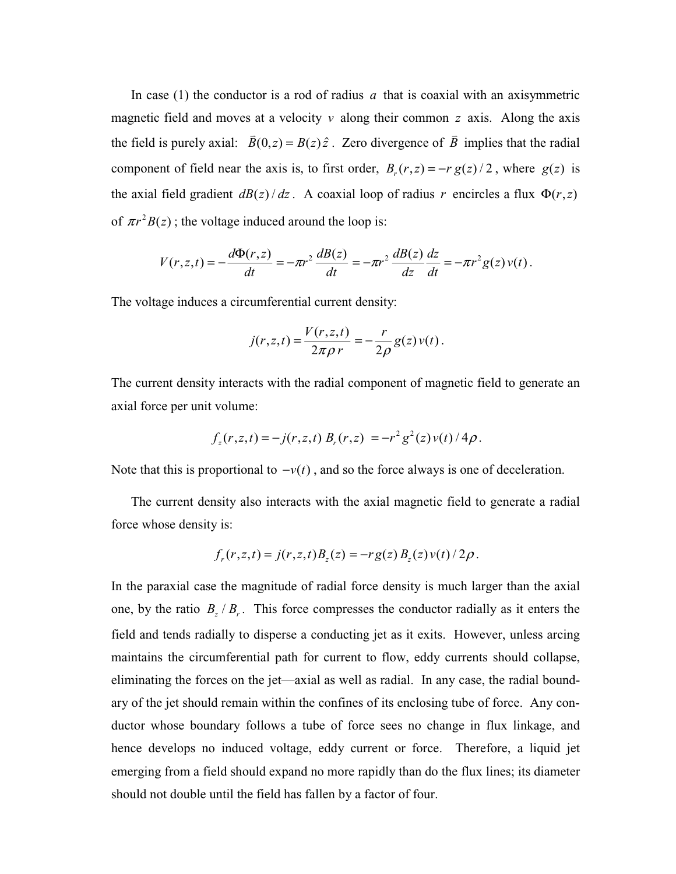In case (1) the conductor is a rod of radius *a* that is coaxial with an axisymmetric magnetic field and moves at a velocity  $v$  along their common  $z$  axis. Along the axis the field is purely axial:  $\vec{B}(0, z) = B(z)\hat{z}$ . Zero divergence of  $\vec{B}$  implies that the radial component of field near the axis is, to first order,  $B_r(r, z) = -r g(z)/2$ , where  $g(z)$  is the axial field gradient  $dB(z)/dz$ . A coaxial loop of radius *r* encircles a flux  $\Phi(r, z)$ of  $\pi r^2 B(z)$ ; the voltage induced around the loop is:

$$
V(r, z, t) = -\frac{d\Phi(r, z)}{dt} = -\pi r^2 \frac{dB(z)}{dt} = -\pi r^2 \frac{dB(z)}{dz} \frac{dz}{dt} = -\pi r^2 g(z) v(t).
$$

The voltage induces a circumferential current density:

$$
j(r, z, t) = \frac{V(r, z, t)}{2\pi\rho r} = -\frac{r}{2\rho}g(z)v(t).
$$

The current density interacts with the radial component of magnetic field to generate an axial force per unit volume:

$$
f_z(r, z, t) = -j(r, z, t) B_r(r, z) = -r^2 g^2(z) v(t) / 4\rho.
$$

Note that this is proportional to  $-v(t)$ , and so the force always is one of deceleration.

The current density also interacts with the axial magnetic field to generate a radial force whose density is:

$$
f_r(r, z, t) = j(r, z, t)B_z(z) = -r g(z) B_z(z) v(t) / 2 \rho.
$$

In the paraxial case the magnitude of radial force density is much larger than the axial one, by the ratio  $B_z/B_r$ . This force compresses the conductor radially as it enters the field and tends radially to disperse a conducting jet as it exits. However, unless arcing maintains the circumferential path for current to flow, eddy currents should collapse, eliminating the forces on the jet—axial as well as radial. In any case, the radial boundary of the jet should remain within the confines of its enclosing tube of force. Any conductor whose boundary follows a tube of force sees no change in flux linkage, and hence develops no induced voltage, eddy current or force. Therefore, a liquid jet emerging from a field should expand no more rapidly than do the flux lines; its diameter should not double until the field has fallen by a factor of four.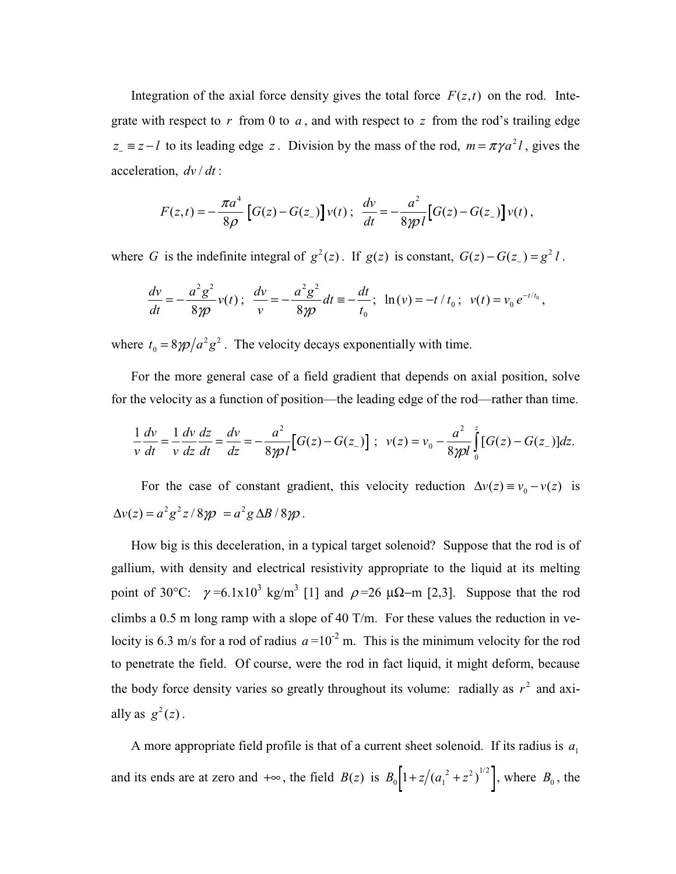Integration of the axial force density gives the total force  $F(z,t)$  on the rod. Integrate with respect to *r* from 0 to *a* , and with respect to *z* from the rod's trailing edge  $z_$  =  $z$  − t to its leading edge *z*. Division by the mass of the rod,  $m = \pi \gamma a^2 l$ , gives the acceleration,  $dv/dt$ :

$$
F(z,t) = -\frac{\pi a^4}{8\rho} \left[ G(z) - G(z_{-}) \right] v(t) \; ; \; \; \frac{dv}{dt} = -\frac{a^2}{8\gamma \rho l} \left[ G(z) - G(z_{-}) \right] v(t) \; ,
$$

where *G* is the indefinite integral of  $g^2(z)$ . If  $g(z)$  is constant,  $G(z) - G(z) = g^2 l$ .

$$
\frac{dv}{dt} = -\frac{a^2 g^2}{8\gamma p} v(t) \; ; \; \frac{dv}{v} = -\frac{a^2 g^2}{8\gamma p} dt = -\frac{dt}{t_0} ; \; \ln(v) = -t/t_0 \; ; \; v(t) = v_0 e^{-t/t_0} ,
$$

where  $t_0 = 8\gamma \rho / a^2 g^2$ . The velocity decays exponentially with time.

For the more general case of a field gradient that depends on axial position, solve for the velocity as a function of position—the leading edge of the rod—rather than time.

$$
\frac{1}{v}\frac{dv}{dt} = \frac{1}{v}\frac{dv}{dz}\frac{dz}{dt} = \frac{dv}{dz} = -\frac{a^2}{8\gamma p l} \Big[ G(z) - G(z_\_) \Big] ; \ \ v(z) = v_0 - \frac{a^2}{8\gamma p l} \int_0^z [G(z) - G(z_\_) \Big] dz.
$$

For the case of constant gradient, this velocity reduction  $\Delta v(z) \equiv v_0 - v(z)$  is  $\Delta v(z) = a^2 g^2 z / 8 \gamma \rho = a^2 g \Delta B / 8 \gamma \rho$ .

How big is this deceleration, in a typical target solenoid? Suppose that the rod is of gallium, with density and electrical resistivity appropriate to the liquid at its melting point of 30°C:  $\gamma = 6.1 \times 10^3$  kg/m<sup>3</sup> [1] and  $\rho = 26 \mu \Omega - m$  [2,3]. Suppose that the rod climbs a 0.5 m long ramp with a slope of 40 T/m. For these values the reduction in velocity is 6.3 m/s for a rod of radius  $a = 10^{-2}$  m. This is the minimum velocity for the rod to penetrate the field. Of course, were the rod in fact liquid, it might deform, because the body force density varies so greatly throughout its volume: radially as  $r^2$  and axially as  $g^2(z)$ .

A more appropriate field profile is that of a current sheet solenoid. If its radius is  $a_1$ and its ends are at zero and  $+\infty$ , the field  $B(z)$  is  $B_0\left[1+z/(a_1^2+z^2)^{1/2}\right]$ , where  $B_0$ , the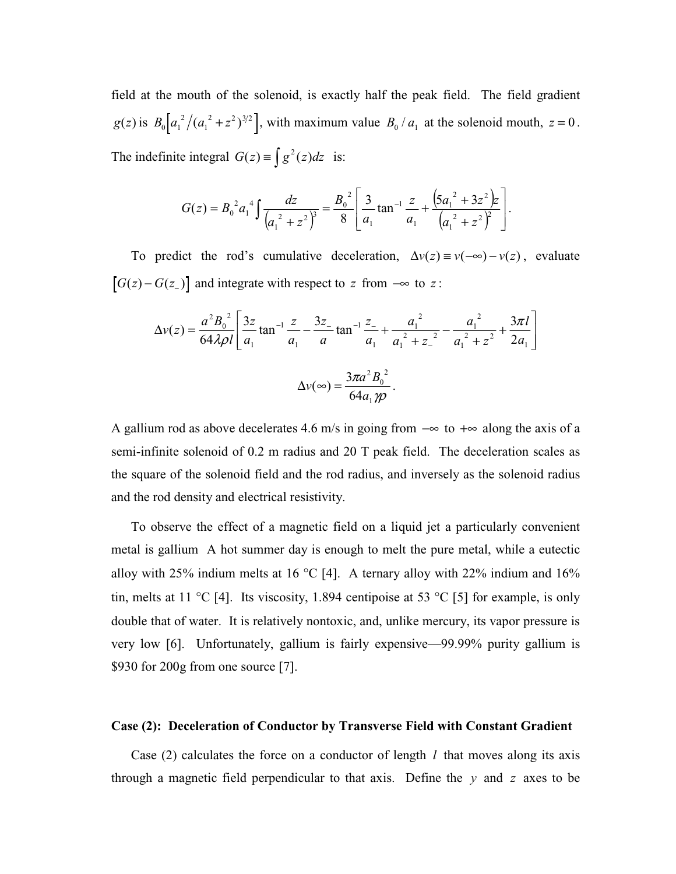field at the mouth of the solenoid, is exactly half the peak field. The field gradient  $g(z)$  is  $B_0 \left[ a_1^2 / (a_1^2 + z) \right]$  $(a_1^2 + z^2)^{3/2}$ , with maximum value  $B_0/a_1$  at the solenoid mouth,  $z = 0$ . The indefinite integral  $G(z) \equiv \int g^2(z) dz$  is:

$$
G(z) = B_0^2 a_1^4 \int \frac{dz}{\left(a_1^2 + z^2\right)^3} = \frac{B_0^2}{8} \left[ \frac{3}{a_1} \tan^{-1} \frac{z}{a_1} + \frac{\left(5a_1^2 + 3z^2\right)z}{\left(a_1^2 + z^2\right)^2} \right].
$$

To predict the rod's cumulative deceleration,  $\Delta v(z) \equiv v(-\infty) - v(z)$ , evaluate  $[G(z) - G(z_)]$  and integrate with respect to *z* from  $-\infty$  to *z*:

$$
\Delta v(z) = \frac{a^2 B_0^2}{64\lambda \rho l} \left[ \frac{3z}{a_1} \tan^{-1} \frac{z}{a_1} - \frac{3z}{a_1} \tan^{-1} \frac{z}{a_1} + \frac{a_1^2}{a_1^2 + z_1^2} - \frac{a_1^2}{a_1^2 + z^2} + \frac{3\pi l}{2a_1} \right]
$$

$$
\Delta v(\infty) = \frac{3\pi a^2 B_0^2}{64a_1 \gamma \rho}.
$$

A gallium rod as above decelerates 4.6 m/s in going from −∞ to +∞ along the axis of a semi-infinite solenoid of 0.2 m radius and 20 T peak field. The deceleration scales as the square of the solenoid field and the rod radius, and inversely as the solenoid radius and the rod density and electrical resistivity.

To observe the effect of a magnetic field on a liquid jet a particularly convenient metal is gallium A hot summer day is enough to melt the pure metal, while a eutectic alloy with 25% indium melts at 16 °C [4]. A ternary alloy with 22% indium and 16% tin, melts at 11 °C [4]. Its viscosity, 1.894 centipoise at 53 °C [5] for example, is only double that of water. It is relatively nontoxic, and, unlike mercury, its vapor pressure is very low [6]. Unfortunately, gallium is fairly expensive—99.99% purity gallium is \$930 for 200g from one source [7].

## **Case (2): Deceleration of Conductor by Transverse Field with Constant Gradient**

Case (2) calculates the force on a conductor of length *l* that moves along its axis through a magnetic field perpendicular to that axis. Define the *y* and *z* axes to be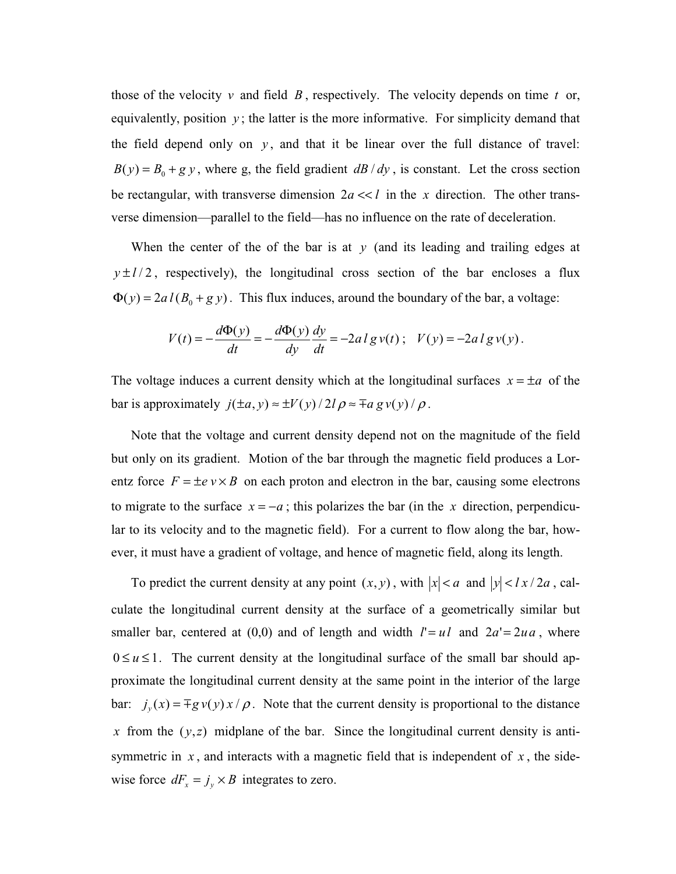those of the velocity  $v$  and field  $B$ , respectively. The velocity depends on time  $t$  or, equivalently, position  $y$ ; the latter is the more informative. For simplicity demand that the field depend only on  $y$ , and that it be linear over the full distance of travel:  $B(y) = B_0 + g y$ , where g, the field gradient *dB / dy*, is constant. Let the cross section be rectangular, with transverse dimension  $2a \ll l$  in the *x* direction. The other transverse dimension—parallel to the field—has no influence on the rate of deceleration.

When the center of the of the bar is at *y* (and its leading and trailing edges at  $y \pm l/2$ , respectively), the longitudinal cross section of the bar encloses a flux  $\Phi(y) = 2a l (B_0 + g y)$ . This flux induces, around the boundary of the bar, a voltage:

$$
V(t) = -\frac{d\Phi(y)}{dt} = -\frac{d\Phi(y)}{dy}\frac{dy}{dt} = -2al\,g\,v(t)\,; \quad V(y) = -2al\,g\,v(y)\,.
$$

The voltage induces a current density which at the longitudinal surfaces  $x = \pm a$  of the bar is approximately  $j(\pm a, y) \approx \pm V(y)/2l \rho \approx \mp a g v(y)/\rho$ .

Note that the voltage and current density depend not on the magnitude of the field but only on its gradient. Motion of the bar through the magnetic field produces a Lorentz force  $F = \pm e \nu \times B$  on each proton and electron in the bar, causing some electrons to migrate to the surface  $x = -a$ ; this polarizes the bar (in the *x* direction, perpendicular to its velocity and to the magnetic field). For a current to flow along the bar, however, it must have a gradient of voltage, and hence of magnetic field, along its length.

To predict the current density at any point  $(x, y)$ , with  $|x| < a$  and  $|y| < l x / 2a$ , calculate the longitudinal current density at the surface of a geometrically similar but smaller bar, centered at (0,0) and of length and width  $l' = ul$  and  $2a' = 2ua$ , where  $0 \le u \le 1$ . The current density at the longitudinal surface of the small bar should approximate the longitudinal current density at the same point in the interior of the large bar:  $j_y(x) = \pm g y(y) x / \rho$ . Note that the current density is proportional to the distance *x* from the  $(y, z)$  midplane of the bar. Since the longitudinal current density is antisymmetric in  $x$ , and interacts with a magnetic field that is independent of  $x$ , the sidewise force  $dF_x = j_y \times B$  integrates to zero.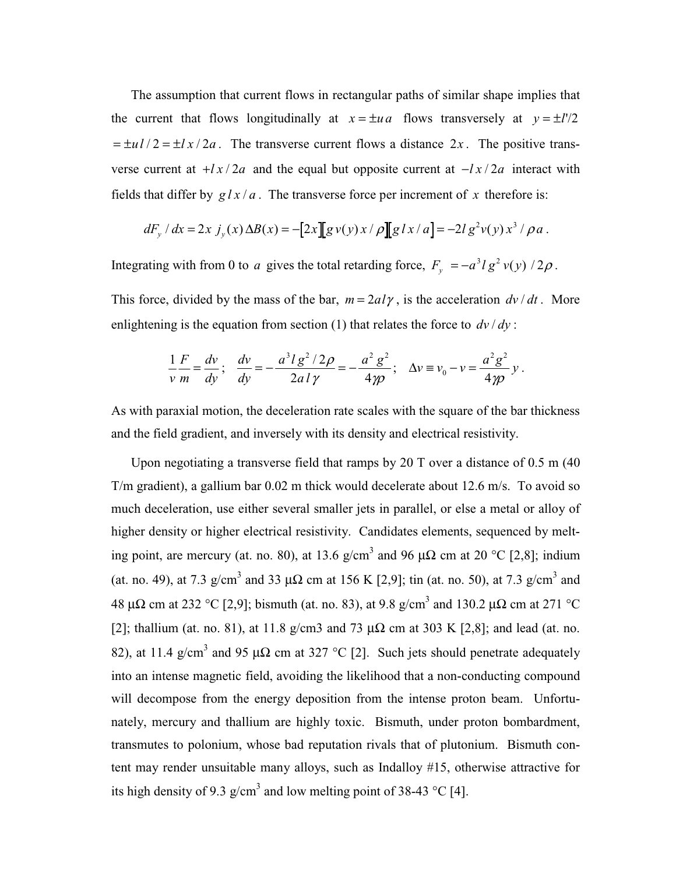The assumption that current flows in rectangular paths of similar shape implies that the current that flows longitudinally at  $x = \pm ua$  flows transversely at  $y = \pm l'/2$  $=\pm u l/2 = \pm l x/2a$ . The transverse current flows a distance 2x. The positive transverse current at  $+lx/2a$  and the equal but opposite current at  $-lx/2a$  interact with fields that differ by  $g/x/a$ . The transverse force per increment of x therefore is:

$$
dF_y / dx = 2x j_y(x) \Delta B(x) = -[2x][g v(y) x / \rho][g l x / a] = -2l g^2 v(y) x^3 / \rho a.
$$

Integrating with from 0 to *a* gives the total retarding force,  $F_y = -a^3lg^2 v(y)/2\rho$ .

This force, divided by the mass of the bar,  $m = 2a l \gamma$ , is the acceleration  $dv/dt$ . More enlightening is the equation from section (1) that relates the force to  $dv/dy$ :

$$
\frac{1}{v}\frac{F}{m} = \frac{dv}{dy}; \quad \frac{dv}{dy} = -\frac{a^3lg^2/2\rho}{2a l \gamma} = -\frac{a^2g^2}{4\gamma\rho}; \quad \Delta v = v_0 - v = \frac{a^2g^2}{4\gamma\rho} y \,.
$$

As with paraxial motion, the deceleration rate scales with the square of the bar thickness and the field gradient, and inversely with its density and electrical resistivity.

Upon negotiating a transverse field that ramps by 20 T over a distance of  $0.5 \text{ m}$  (40) T/m gradient), a gallium bar 0.02 m thick would decelerate about 12.6 m/s. To avoid so much deceleration, use either several smaller jets in parallel, or else a metal or alloy of higher density or higher electrical resistivity. Candidates elements, sequenced by melting point, are mercury (at. no. 80), at 13.6 g/cm<sup>3</sup> and 96  $\mu\Omega$  cm at 20 °C [2,8]; indium (at. no. 49), at 7.3 g/cm<sup>3</sup> and 33  $\mu\Omega$  cm at 156 K [2,9]; tin (at. no. 50), at 7.3 g/cm<sup>3</sup> and 48 µΩ cm at 232 °C [2,9]; bismuth (at. no. 83), at 9.8 g/cm3 and 130.2 µΩ cm at 271 °C [2]; thallium (at. no. 81), at 11.8 g/cm3 and 73  $\mu\Omega$  cm at 303 K [2,8]; and lead (at. no. 82), at 11.4 g/cm<sup>3</sup> and 95  $\mu\Omega$  cm at 327 °C [2]. Such jets should penetrate adequately into an intense magnetic field, avoiding the likelihood that a non-conducting compound will decompose from the energy deposition from the intense proton beam. Unfortunately, mercury and thallium are highly toxic. Bismuth, under proton bombardment, transmutes to polonium, whose bad reputation rivals that of plutonium. Bismuth content may render unsuitable many alloys, such as Indalloy #15, otherwise attractive for its high density of 9.3 g/cm<sup>3</sup> and low melting point of 38-43 °C [4].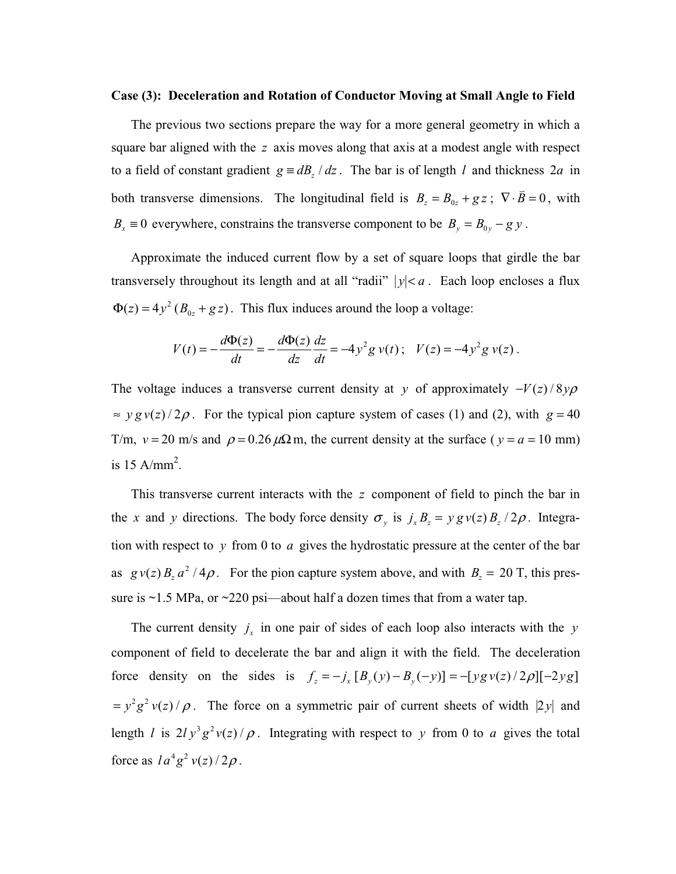## **Case (3): Deceleration and Rotation of Conductor Moving at Small Angle to Field**

The previous two sections prepare the way for a more general geometry in which a square bar aligned with the *z* axis moves along that axis at a modest angle with respect to a field of constant gradient  $g \equiv dB_z / dz$ . The bar is of length *l* and thickness 2*a* in both transverse dimensions. The longitudinal field is  $B_z = B_{0z} + gz$ ;  $\nabla \cdot \vec{B} = 0$ , with *B<sub>x</sub>* ≡ 0 everywhere, constrains the transverse component to be  $B_y = B_{0y} - gy$ .

Approximate the induced current flow by a set of square loops that girdle the bar transversely throughout its length and at all "radii"  $|y| < a$ . Each loop encloses a flux  $\Phi(z) = 4y^2 (B_{0z} + gz)$ . This flux induces around the loop a voltage:

$$
V(t) = -\frac{d\Phi(z)}{dt} = -\frac{d\Phi(z)}{dz}\frac{dz}{dt} = -4y^2g v(t); \quad V(z) = -4y^2g v(z).
$$

The voltage induces a transverse current density at *y* of approximately  $-V(z)/8y\rho$  $\approx y g y(z)/2\rho$ . For the typical pion capture system of cases (1) and (2), with  $g = 40$ T/m,  $v = 20$  m/s and  $\rho = 0.26 \mu\Omega$  m, the current density at the surface ( $v = a = 10$  mm) is 15 A/mm<sup>2</sup>.

This transverse current interacts with the *z* component of field to pinch the bar in the *x* and *y* directions. The body force density  $\sigma_y$  is  $j_x B_z = y g v(z) B_z / 2 \rho$ . Integration with respect to *y* from 0 to *a* gives the hydrostatic pressure at the center of the bar as  $g v(z) B_z a^2 / 4\rho$ . For the pion capture system above, and with  $B_z = 20$  T, this pressure is  $\sim$ 1.5 MPa, or  $\sim$ 220 psi—about half a dozen times that from a water tap.

The current density  $j_x$  in one pair of sides of each loop also interacts with the *y* component of field to decelerate the bar and align it with the field. The deceleration force density on the sides is  $f_z = -j_x [B_y (y) - B_y (-y)] = -[y g v(z) / 2 \rho] [-2y g]$  $y = y^2 g^2 v(z) / \rho$ . The force on a symmetric pair of current sheets of width |2*y*| and length *l* is  $2 l y^3 g^2 v(z) / \rho$ . Integrating with respect to *y* from 0 to *a* gives the total force as  $l a^4 g^2 v(z)/2 \rho$ .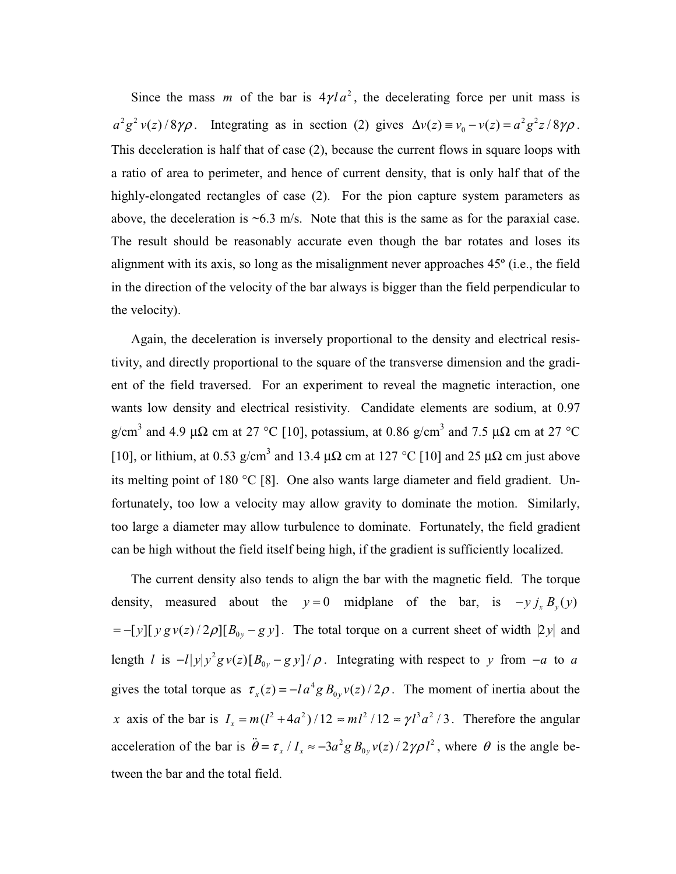Since the mass *m* of the bar is  $4\gamma l a^2$ , the decelerating force per unit mass is  $a^2 g^2 v(z)/8\gamma \rho$ . Integrating as in section (2) gives  $\Delta v(z) \equiv v_0 - v(z) = a^2 g^2 z / 8 \gamma \rho$ . This deceleration is half that of case (2), because the current flows in square loops with a ratio of area to perimeter, and hence of current density, that is only half that of the highly-elongated rectangles of case (2). For the pion capture system parameters as above, the deceleration is  $\sim 6.3$  m/s. Note that this is the same as for the paraxial case. The result should be reasonably accurate even though the bar rotates and loses its alignment with its axis, so long as the misalignment never approaches 45º (i.e., the field in the direction of the velocity of the bar always is bigger than the field perpendicular to the velocity).

Again, the deceleration is inversely proportional to the density and electrical resistivity, and directly proportional to the square of the transverse dimension and the gradient of the field traversed. For an experiment to reveal the magnetic interaction, one wants low density and electrical resistivity. Candidate elements are sodium, at 0.97 g/cm<sup>3</sup> and 4.9 µ $\Omega$  cm at 27 °C [10], potassium, at 0.86 g/cm<sup>3</sup> and 7.5 µ $\Omega$  cm at 27 °C [10], or lithium, at 0.53 g/cm<sup>3</sup> and 13.4  $\mu\Omega$  cm at 127 °C [10] and 25  $\mu\Omega$  cm just above its melting point of 180 °C [8]. One also wants large diameter and field gradient. Unfortunately, too low a velocity may allow gravity to dominate the motion. Similarly, too large a diameter may allow turbulence to dominate. Fortunately, the field gradient can be high without the field itself being high, if the gradient is sufficiently localized.

The current density also tends to align the bar with the magnetic field. The torque density, measured about the  $y = 0$  midplane of the bar, is  $-y j_x B_y(y)$  $=-[y][y g v(z)/2\rho][B_{0y}-g y]$ . The total torque on a current sheet of width |2*y*| and length *l* is  $- l |y| y^2 g v(z) [B_{0y} - g y] / \rho$ . Integrating with respect to *y* from  $-a$  to *a* gives the total torque as  $\tau_x(z) = -l a^4 g B_{0y} v(z)/2\rho$ . The moment of inertia about the *x* axis of the bar is  $I_x = m(l^2 + 4a^2)/12 \approx ml^2/12 \approx \gamma l^3 a^2/3$ . Therefore the angular acceleration of the bar is  $\ddot{\theta} = \tau_x / I_x \approx -3a^2 g B_{0y} v(z) / 2\gamma \rho l^2$ , where  $\theta$  is the angle between the bar and the total field.